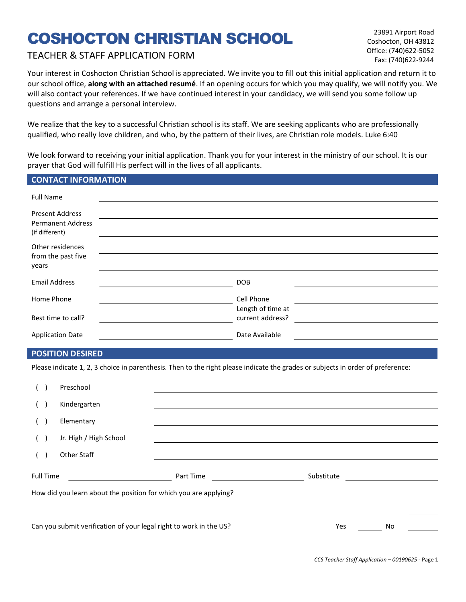# COSHOCTON CHRISTIAN SCHOOL

# TEACHER & STAFF APPLICATION FORM

23891 Airport Road Coshocton, OH 43812 Office: (740)622-5052 Fax: (740)622-9244

Your interest in Coshocton Christian School is appreciated. We invite you to fill out this initial application and return it to our school office, along with an attached resumé. If an opening occurs for which you may qualify, we will notify you. We will also contact your references. If we have continued interest in your candidacy, we will send you some follow up questions and arrange a personal interview.

We realize that the key to a successful Christian school is its staff. We are seeking applicants who are professionally qualified, who really love children, and who, by the pattern of their lives, are Christian role models. Luke 6:40

We look forward to receiving your initial application. Thank you for your interest in the ministry of our school. It is our prayer that God will fulfill His perfect will in the lives of all applicants.

### CONTACT INFORMATION

| <b>Full Name</b>                                                     |                                 |
|----------------------------------------------------------------------|---------------------------------|
| <b>Present Address</b><br><b>Permanent Address</b><br>(if different) |                                 |
| Other residences<br>from the past five<br>years                      |                                 |
| <b>Email Address</b>                                                 | <b>DOB</b>                      |
| Home Phone                                                           | Cell Phone<br>Length of time at |
| Best time to call?                                                   | current address?                |
| <b>Application Date</b>                                              | Date Available                  |

## POSITION DESIRED

Please indicate 1, 2, 3 choice in parenthesis. Then to the right please indicate the grades or subjects in order of preference:

| $\sqrt{2}$ |                  | Preschool                                                          |           |            |    |  |
|------------|------------------|--------------------------------------------------------------------|-----------|------------|----|--|
| $\sqrt{2}$ |                  | Kindergarten                                                       |           |            |    |  |
|            |                  | Elementary                                                         |           |            |    |  |
| (          |                  | Jr. High / High School                                             |           |            |    |  |
| $\sqrt{2}$ |                  | Other Staff                                                        |           |            |    |  |
|            | <b>Full Time</b> |                                                                    | Part Time | Substitute |    |  |
|            |                  | How did you learn about the position for which you are applying?   |           |            |    |  |
|            |                  |                                                                    |           |            |    |  |
|            |                  | Can you submit verification of your legal right to work in the US? |           | Yes        | No |  |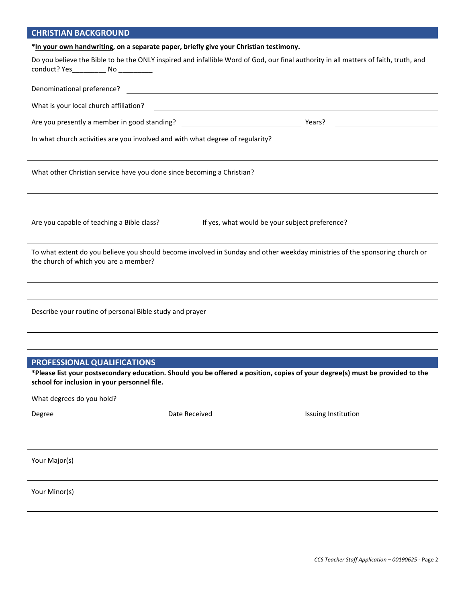## CHRISTIAN BACKGROUND

|                                                                                                          | *In your own handwriting, on a separate paper, briefly give your Christian testimony.                 |                                                                                                                                      |
|----------------------------------------------------------------------------------------------------------|-------------------------------------------------------------------------------------------------------|--------------------------------------------------------------------------------------------------------------------------------------|
| conduct? Yes______________ No ____________                                                               |                                                                                                       | Do you believe the Bible to be the ONLY inspired and infallible Word of God, our final authority in all matters of faith, truth, and |
|                                                                                                          |                                                                                                       |                                                                                                                                      |
| What is your local church affiliation?                                                                   |                                                                                                       | <u> 1989 - Johann John Stein, markin fan it ferstjer fan de ferstjer fan it ferstjer fan de ferstjer fan it fers</u>                 |
|                                                                                                          |                                                                                                       |                                                                                                                                      |
|                                                                                                          | In what church activities are you involved and with what degree of regularity?                        |                                                                                                                                      |
|                                                                                                          | What other Christian service have you done since becoming a Christian?                                |                                                                                                                                      |
|                                                                                                          | Are you capable of teaching a Bible class? ___________ If yes, what would be your subject preference? |                                                                                                                                      |
| the church of which you are a member?                                                                    |                                                                                                       | To what extent do you believe you should become involved in Sunday and other weekday ministries of the sponsoring church or          |
| Describe your routine of personal Bible study and prayer                                                 |                                                                                                       |                                                                                                                                      |
| PROFESSIONAL QUALIFICATIONS<br>school for inclusion in your personnel file.<br>What degrees do you hold? |                                                                                                       | *Please list your postsecondary education. Should you be offered a position, copies of your degree(s) must be provided to the        |
| Degree                                                                                                   | Date Received                                                                                         | Issuing Institution                                                                                                                  |
| Your Major(s)                                                                                            |                                                                                                       |                                                                                                                                      |
| Your Minor(s)                                                                                            |                                                                                                       |                                                                                                                                      |
|                                                                                                          |                                                                                                       |                                                                                                                                      |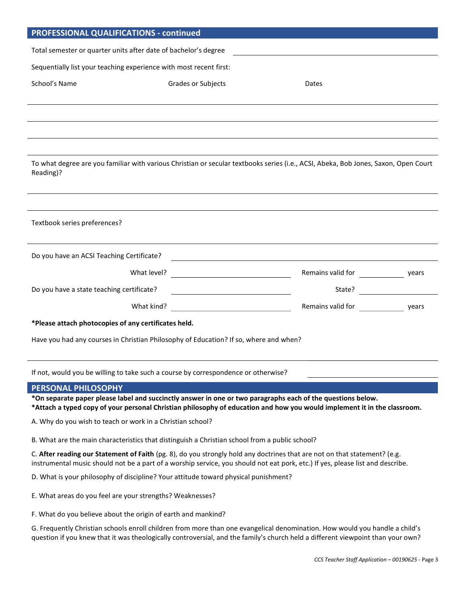| <b>PROFESSIONAL QUALIFICATIONS - continued</b>                                                                                                   |                                                                                                                      |                                             |
|--------------------------------------------------------------------------------------------------------------------------------------------------|----------------------------------------------------------------------------------------------------------------------|---------------------------------------------|
| Total semester or quarter units after date of bachelor's degree                                                                                  |                                                                                                                      |                                             |
| Sequentially list your teaching experience with most recent first:                                                                               |                                                                                                                      |                                             |
| School's Name                                                                                                                                    | Grades or Subjects                                                                                                   | Dates                                       |
|                                                                                                                                                  |                                                                                                                      |                                             |
|                                                                                                                                                  |                                                                                                                      |                                             |
|                                                                                                                                                  |                                                                                                                      |                                             |
|                                                                                                                                                  |                                                                                                                      |                                             |
| To what degree are you familiar with various Christian or secular textbooks series (i.e., ACSI, Abeka, Bob Jones, Saxon, Open Court<br>Reading)? |                                                                                                                      |                                             |
|                                                                                                                                                  |                                                                                                                      |                                             |
| Textbook series preferences?                                                                                                                     |                                                                                                                      |                                             |
| Do you have an ACSI Teaching Certificate?                                                                                                        | <u> 1989 - Johann Barn, mars et al. (b. 1989)</u>                                                                    |                                             |
|                                                                                                                                                  |                                                                                                                      | Remains valid for vears                     |
| Do you have a state teaching certificate?                                                                                                        | <u> 1989 - Johann Stoff, deutscher Stoffen und der Stoffen und der Stoffen und der Stoffen und der Stoffen und d</u> |                                             |
|                                                                                                                                                  |                                                                                                                      | Remains valid for ___________________ years |
| *Please attach photocopies of any certificates held.                                                                                             |                                                                                                                      |                                             |
| Have you had any courses in Christian Philosophy of Education? If so, where and when?                                                            |                                                                                                                      |                                             |

If not, would you be willing to take such a course by correspondence or otherwise?

#### PERSONAL PHILOSOPHY

\*On separate paper please label and succinctly answer in one or two paragraphs each of the questions below. \*Attach a typed copy of your personal Christian philosophy of education and how you would implement it in the classroom.

A. Why do you wish to teach or work in a Christian school?

B. What are the main characteristics that distinguish a Christian school from a public school?

C. After reading our Statement of Faith (pg. 8), do you strongly hold any doctrines that are not on that statement? (e.g. instrumental music should not be a part of a worship service, you should not eat pork, etc.) If yes, please list and describe.

D. What is your philosophy of discipline? Your attitude toward physical punishment?

E. What areas do you feel are your strengths? Weaknesses?

F. What do you believe about the origin of earth and mankind?

G. Frequently Christian schools enroll children from more than one evangelical denomination. How would you handle a child's question if you knew that it was theologically controversial, and the family's church held a different viewpoint than your own?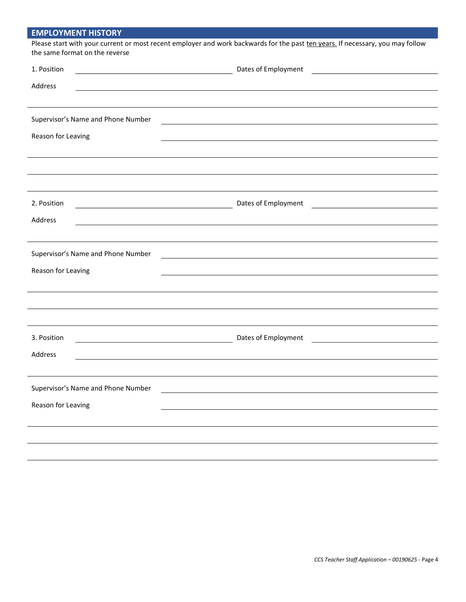|  | <b>EMPLOYMENT HISTORY</b> |  |
|--|---------------------------|--|
|  |                           |  |

| Please start with your current or most recent employer and work backwards for the past ten years. If necessary, you may follow |
|--------------------------------------------------------------------------------------------------------------------------------|
| the same format on the reverse                                                                                                 |

| 1. Position                                                                                                                         | Dates of Employment                                                              |
|-------------------------------------------------------------------------------------------------------------------------------------|----------------------------------------------------------------------------------|
| Address                                                                                                                             |                                                                                  |
|                                                                                                                                     |                                                                                  |
|                                                                                                                                     |                                                                                  |
| Supervisor's Name and Phone Number                                                                                                  |                                                                                  |
| Reason for Leaving                                                                                                                  |                                                                                  |
|                                                                                                                                     |                                                                                  |
|                                                                                                                                     |                                                                                  |
|                                                                                                                                     |                                                                                  |
| 2. Position<br><u> 1980 - Johann Barn, amerikan bestemannten bestemannten bestemannten bestemannten bestemannten bestemannten b</u> | Dates of Employment<br><u> 1989 - Johann Barn, mars eta bainar eta idazlea (</u> |
| Address                                                                                                                             |                                                                                  |
|                                                                                                                                     |                                                                                  |
|                                                                                                                                     |                                                                                  |
| Supervisor's Name and Phone Number                                                                                                  |                                                                                  |
| Reason for Leaving                                                                                                                  |                                                                                  |
|                                                                                                                                     |                                                                                  |
|                                                                                                                                     |                                                                                  |
|                                                                                                                                     |                                                                                  |
| 3. Position                                                                                                                         | Dates of Employment<br><u> 1989 - Johann Barn, mars ann an t-Amhainn an t-A</u>  |
| Address                                                                                                                             |                                                                                  |
|                                                                                                                                     |                                                                                  |
| Supervisor's Name and Phone Number                                                                                                  |                                                                                  |
| Reason for Leaving                                                                                                                  |                                                                                  |
|                                                                                                                                     |                                                                                  |
|                                                                                                                                     |                                                                                  |
|                                                                                                                                     |                                                                                  |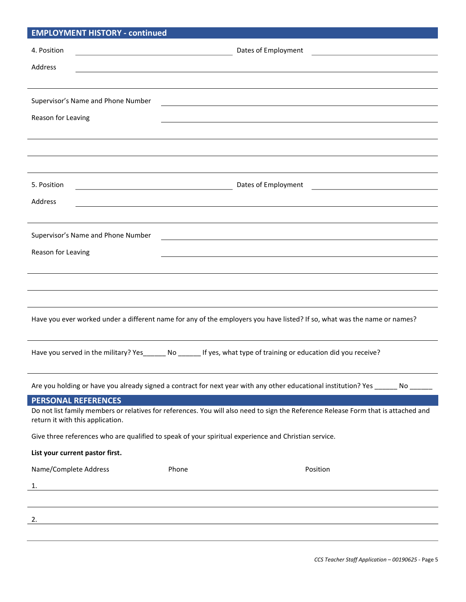| <b>EMPLOYMENT HISTORY - continued</b>                                                                                              |                                                                                                                                              |  |
|------------------------------------------------------------------------------------------------------------------------------------|----------------------------------------------------------------------------------------------------------------------------------------------|--|
| 4. Position<br><u> 1989 - Johann Barn, mars eta bainar eta baina eta baina eta baina eta baina eta baina eta baina eta baina e</u> | Dates of Employment<br><u> 1989 - Johann Stoff, deutscher Stoffen und der Stoffen und der Stoffen und der Stoffen und der Stoffen und de</u> |  |
|                                                                                                                                    |                                                                                                                                              |  |
| Address                                                                                                                            |                                                                                                                                              |  |
|                                                                                                                                    |                                                                                                                                              |  |
| Supervisor's Name and Phone Number                                                                                                 |                                                                                                                                              |  |
| Reason for Leaving                                                                                                                 |                                                                                                                                              |  |
|                                                                                                                                    |                                                                                                                                              |  |
|                                                                                                                                    |                                                                                                                                              |  |
|                                                                                                                                    |                                                                                                                                              |  |
| 5. Position                                                                                                                        | Dates of Employment<br><u> 1980 - Johann Barnett, fransk politik (d. 1980)</u>                                                               |  |
| Address                                                                                                                            |                                                                                                                                              |  |
|                                                                                                                                    |                                                                                                                                              |  |
| Supervisor's Name and Phone Number                                                                                                 |                                                                                                                                              |  |
|                                                                                                                                    |                                                                                                                                              |  |
| Reason for Leaving                                                                                                                 | <u> 1989 - Johann Stein, marwolaethau a bhann an t-Amhain an t-Amhain an t-Amhain an t-Amhain an t-Amhain an t-A</u>                         |  |
|                                                                                                                                    |                                                                                                                                              |  |
|                                                                                                                                    |                                                                                                                                              |  |
|                                                                                                                                    |                                                                                                                                              |  |
|                                                                                                                                    | Have you ever worked under a different name for any of the employers you have listed? If so, what was the name or names?                     |  |
|                                                                                                                                    | Have you served in the military? Yes______ No ______ If yes, what type of training or education did you receive?                             |  |
|                                                                                                                                    | Are you holding or have you already signed a contract for next year with any other educational institution? Yes _______ No ______            |  |
| <b>PERSONAL REFERENCES</b>                                                                                                         |                                                                                                                                              |  |
| return it with this application.                                                                                                   | Do not list family members or relatives for references. You will also need to sign the Reference Release Form that is attached and           |  |
|                                                                                                                                    | Give three references who are qualified to speak of your spiritual experience and Christian service.                                         |  |
| List your current pastor first.                                                                                                    |                                                                                                                                              |  |
| Name/Complete Address                                                                                                              | Phone<br>Position                                                                                                                            |  |
| 1.<br><u> 1980 - Johann Barbara, martxa alemaniar arg</u>                                                                          |                                                                                                                                              |  |
|                                                                                                                                    |                                                                                                                                              |  |
| 2.                                                                                                                                 |                                                                                                                                              |  |
|                                                                                                                                    |                                                                                                                                              |  |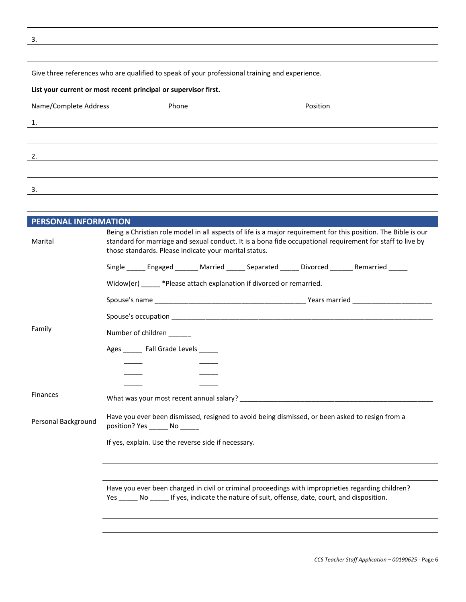3.

| Give three references who are qualified to speak of your professional training and experience. |
|------------------------------------------------------------------------------------------------|
|------------------------------------------------------------------------------------------------|

#### List your current or most recent principal or supervisor first.

| Name/Complete Address | Phone | Position |
|-----------------------|-------|----------|
| 1.                    |       |          |
|                       |       |          |
| 2.                    |       |          |
|                       |       |          |
| 3.                    |       |          |

| <b>PERSONAL INFORMATION</b> |                                                                                                                                                                                                                                                                                      |  |
|-----------------------------|--------------------------------------------------------------------------------------------------------------------------------------------------------------------------------------------------------------------------------------------------------------------------------------|--|
| Marital                     | Being a Christian role model in all aspects of life is a major requirement for this position. The Bible is our<br>standard for marriage and sexual conduct. It is a bona fide occupational requirement for staff to live by<br>those standards. Please indicate your marital status. |  |
|                             | Single ______ Engaged _______ Married ______ Separated ______ Divorced _______ Remarried _____                                                                                                                                                                                       |  |
|                             | Widow(er) _____ *Please attach explanation if divorced or remarried.                                                                                                                                                                                                                 |  |
|                             |                                                                                                                                                                                                                                                                                      |  |
|                             |                                                                                                                                                                                                                                                                                      |  |
| Family                      | Number of children                                                                                                                                                                                                                                                                   |  |
|                             | Ages ______ Fall Grade Levels _____                                                                                                                                                                                                                                                  |  |
|                             |                                                                                                                                                                                                                                                                                      |  |
|                             |                                                                                                                                                                                                                                                                                      |  |
| <b>Finances</b>             |                                                                                                                                                                                                                                                                                      |  |
| Personal Background         | Have you ever been dismissed, resigned to avoid being dismissed, or been asked to resign from a<br>position? Yes _______ No ______                                                                                                                                                   |  |
|                             | If yes, explain. Use the reverse side if necessary.                                                                                                                                                                                                                                  |  |
|                             |                                                                                                                                                                                                                                                                                      |  |
|                             |                                                                                                                                                                                                                                                                                      |  |
|                             | Have you ever been charged in civil or criminal proceedings with improprieties regarding children?<br>Yes _______ No _______ If yes, indicate the nature of suit, offense, date, court, and disposition.                                                                             |  |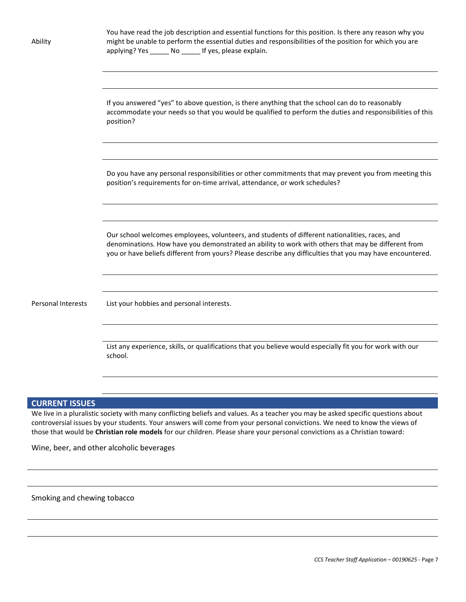| Ability                   | You have read the job description and essential functions for this position. Is there any reason why you<br>might be unable to perform the essential duties and responsibilities of the position for which you are<br>applying? Yes ______ No _____ If yes, please explain.                                       |
|---------------------------|-------------------------------------------------------------------------------------------------------------------------------------------------------------------------------------------------------------------------------------------------------------------------------------------------------------------|
|                           | If you answered "yes" to above question, is there anything that the school can do to reasonably<br>accommodate your needs so that you would be qualified to perform the duties and responsibilities of this<br>position?                                                                                          |
|                           | Do you have any personal responsibilities or other commitments that may prevent you from meeting this<br>position's requirements for on-time arrival, attendance, or work schedules?                                                                                                                              |
|                           | Our school welcomes employees, volunteers, and students of different nationalities, races, and<br>denominations. How have you demonstrated an ability to work with others that may be different from<br>you or have beliefs different from yours? Please describe any difficulties that you may have encountered. |
| <b>Personal Interests</b> | List your hobbies and personal interests.                                                                                                                                                                                                                                                                         |
|                           | List any experience, skills, or qualifications that you believe would especially fit you for work with our<br>school.                                                                                                                                                                                             |

# CURRENT ISSUES

We live in a pluralistic society with many conflicting beliefs and values. As a teacher you may be asked specific questions about controversial issues by your students. Your answers will come from your personal convictions. We need to know the views of those that would be Christian role models for our children. Please share your personal convictions as a Christian toward:

Wine, beer, and other alcoholic beverages

Smoking and chewing tobacco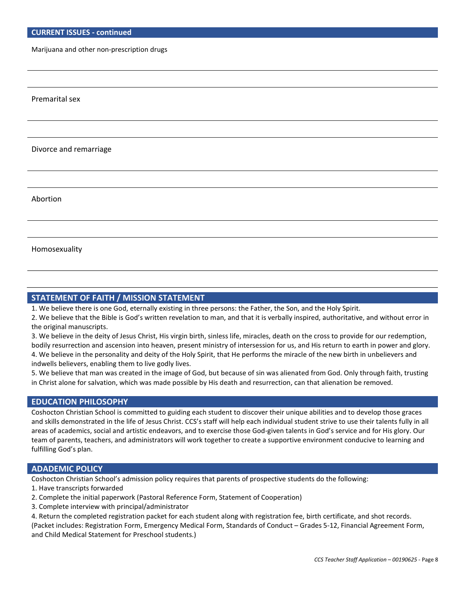Marijuana and other non-prescription drugs

Premarital sex

Divorce and remarriage

Abortion

Homosexuality

## STATEMENT OF FAITH / MISSION STATEMENT

1. We believe there is one God, eternally existing in three persons: the Father, the Son, and the Holy Spirit.

- 2. We believe that the Bible is God's written revelation to man, and that it is verbally inspired, authoritative, and without error in the original manuscripts.
- 3. We believe in the deity of Jesus Christ, His virgin birth, sinless life, miracles, death on the cross to provide for our redemption, bodily resurrection and ascension into heaven, present ministry of intersession for us, and His return to earth in power and glory. 4. We believe in the personality and deity of the Holy Spirit, that He performs the miracle of the new birth in unbelievers and

indwells believers, enabling them to live godly lives.

5. We believe that man was created in the image of God, but because of sin was alienated from God. Only through faith, trusting in Christ alone for salvation, which was made possible by His death and resurrection, can that alienation be removed.

#### EDUCATION PHILOSOPHY

Coshocton Christian School is committed to guiding each student to discover their unique abilities and to develop those graces and skills demonstrated in the life of Jesus Christ. CCS's staff will help each individual student strive to use their talents fully in all areas of academics, social and artistic endeavors, and to exercise those God-given talents in God's service and for His glory. Our team of parents, teachers, and administrators will work together to create a supportive environment conducive to learning and fulfilling God's plan.

#### ADADEMIC POLICY

Coshocton Christian School's admission policy requires that parents of prospective students do the following:

- 1. Have transcripts forwarded
- 2. Complete the initial paperwork (Pastoral Reference Form, Statement of Cooperation)
- 3. Complete interview with principal/administrator

4. Return the completed registration packet for each student along with registration fee, birth certificate, and shot records.

(Packet includes: Registration Form, Emergency Medical Form, Standards of Conduct – Grades 5-12, Financial Agreement Form, and Child Medical Statement for Preschool students.)